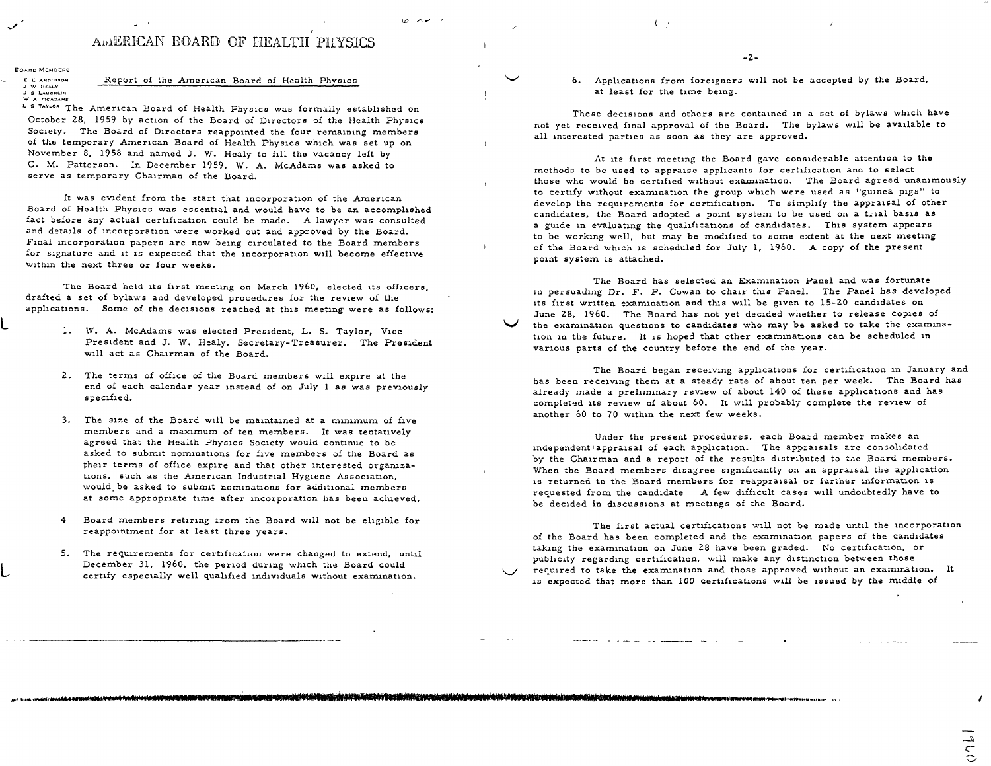## AWERICAN BOARD OF HEALTH PHYSICS

**BOARD MCMOCRS C C** ANDIRION **J \'I >ll'.ALV** 

## Report of the American Board of Health Physics

**J 6 LAUCIILIN W A RICADAMS** 

**L** 

**L** 

L & TAYLOR The American Board of Health Physics was formally established on October 28, 1959 by action of the Board of Directors of the Health Physics Society. The Board of Directors reappointed the four remaining members of the temporary American Board of Health Physics which was set up on November 8, 1958 and named J. W. Healy to fill the vacancy left by C. M. Patterson. In December 1959, W. A. McAdams was asked to serve as temporary Chairman of the Board.

It was evident from the start that incorporation of the American Board of Health Physics was essential and would have to be an accomplished fact before any actual certification could be made. A lawyer was consulted and details of incorporation were worked out and approved by the Board. Final incorporation papers are now being circulated to the Board members for signature and it 1s expected that the incorporation will become effective within the next three or four weeks.

The Board held its first meeting on March 1960, elected its officers, drafted a set of bylaws and developed procedures for the review of the applications. Some of the decisions reached at this meeting were as follows:

- l. W. A. McAdams was elected President, L. S. Taylor, Vice President and J. W. Healy, Secretary-Treasurer. The President will act as Chairman of the Board.
- 2. The terms of office of the Board members will expire at the end of each calendar year instead of on July 1 as was previously specified.
- 3. The size of the Board will be maintained at a minimum of five members and a maximum of ten members. It was tentatively agreed that the Health Physics Society would continue to be asked to submit nominations for five members of the Board as their terms of office expire and that other interested organizations, such as the American Industrial Hygiene Association, would be asked to submit nominations for additional members at some appropriate time after incorporation has been achieved.
- 4 Board members retiring from the Board will not be eligible for reappointment for at least three years.
- 5. The requirements for certification were changed to extend, until December 31, 1960, the period during which the Board could certify especially well qualified individuals without examination.

 $($ 

6. Applications from foreigners will not be accepted by the Board, at least for the time being.

 $\vee$ 

 $\overline{1}$ 

**V** 

 $\backsim$ 

jaaruusiekkilelekkostoikta kitulidesteetti Kuntiekkileenen kokaluksinelenen kirkehteen min varaluttanen min ko

These decisions and others are contained in a set of bylaws which have not yet received final approval of the Board. The bylaws will be available to all interested parties as soon as they are approved.

At its first meeting the Board gave considerable attention to the methods to be used to appraise applicants for certification and to select those who would be certified without examination. The Board agreed unanimously to certify without examination the group which were used as "guinea pigs" to develop the requirements for certification. To simplify the appraisal of other candidates, the Board adopted a point system to be used on a trial basis as a guide in evaluating the qualifications of candidates. This system appears to be working well, but may be modified to some extent at the next meeting of the Board which 1s scheduled for July l, 1960. A copy of the present point system 1s attached.

The Board has selected an Examination Panel and was fortunate in persuading Dr. F. P. Cowan to chair this Panel. The Panel has developed its first written examination and this will be given to 15-20 candidates on June 28, 1960. The Board has not yet decided whether to release copies of the examination questions to candidates who may be asked to take the examination 1n the future. It 1s hoped that other examinations can be scheduled in various parts of the country before the end of the year.

The Board began receiving applications for certification in January and has been receiving them at a steady rate of about ten per week. The Board has already made a preliminary review of about 140 of these applications and has completed its review of about 60. It will probably complete the review of another 60 to 70 within the next few weeks.

Under the present procedures, each Board member makes aa independent appraisal of each application. The appraisals are consolidated by the Chairman and a report of the results distributed to the Board members. When the Board members disagree significantly on an appraisal the application 1s returned to the Board members for reappraisal or further information is requested from the candidate A few difficult cases will undoubtedly have to be decided in discussions at meetings of the Board.

The first actual certifications will not be made until the incorporation of the Board has been completed and the examination papers of the candidates taking the examination on June 28 have been graded. No certification, or publicity regarding certification, will make any distinction between those required to take the examination and those approved without an examination. It is expected that more than 100 cert1f1cations will be issued by the middle of

*I* 

 $\frac{1}{2}$